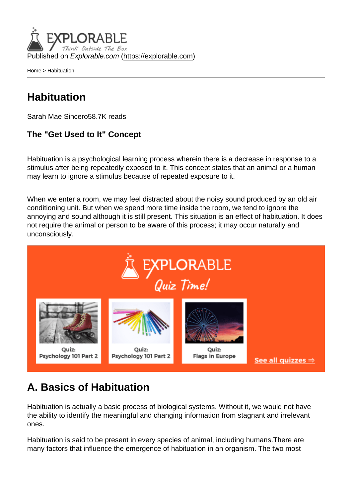Published on Explorable.com (<https://explorable.com>)

[Home](https://explorable.com/) > Habituation

## **Habituation**

Sarah Mae Sincero58.7K reads

The "Get Used to It" Concept

Habituation is a psychological learning process wherein there is a decrease in response to a stimulus after being repeatedly exposed to it. This concept states that an animal or a human may learn to ignore a stimulus because of repeated exposure to it.

When we enter a room, we may feel distracted about the noisy sound produced by an old air conditioning unit. But when we spend more time inside the room, we tend to ignore the annoying and sound although it is still present. This situation is an effect of habituation. It does not require the animal or person to be aware of this process; it may occur naturally and unconsciously.

## A. Basics of Habituation

Habituation is actually a basic process of biological systems. Without it, we would not have the ability to identify the meaningful and changing information from stagnant and irrelevant ones.

Habituation is said to be present in every species of animal, including humans.There are many factors that influence the emergence of habituation in an organism. The two most